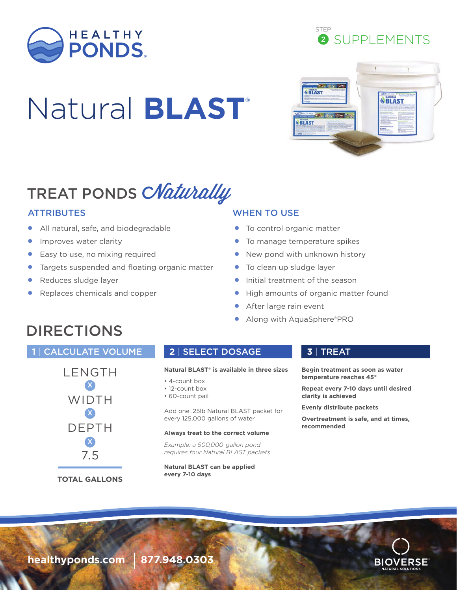

# Natural **BLAST®**





# TREAT PONDS CNaturally

- All natural, safe, and biodegradable
- **•** Improves water clarity
- Easy to use, no mixing required
- Targets suspended and floating organic matter
- Reduces sludge layer
- Replaces chemicals and copper

### ATTRIBUTES WHEN TO USE

- To control organic matter
- To manage temperature spikes
- New pond with unknown history
- To clean up sludge layer
- Initial treatment of the season
- High amounts of organic matter found
- After large rain event
- Along with AquaSphere®PRO

# DIRECTIONS

### **1** | CALCULATE VOLUME **2** | SELECT DOSAGE **3** | TREAT



### **Natural BLAST**® **is available in three sizes**

- 4-count box
- 12-count box
- 60-count pail

Add one .25lb Natural BLAST packet for every 125,000 gallons of water

### **Always treat to the correct volume**

*Example: a 500,000-gallon pond requires four Natural BLAST packets*

**Natural BLAST can be applied every 7-10 days**

**Begin treatment as soon as water temperature reaches 45°** 

**Repeat every 7-10 days until desired clarity is achieved**

**Evenly distribute packets**

**Overtreatment is safe, and at times, recommended**